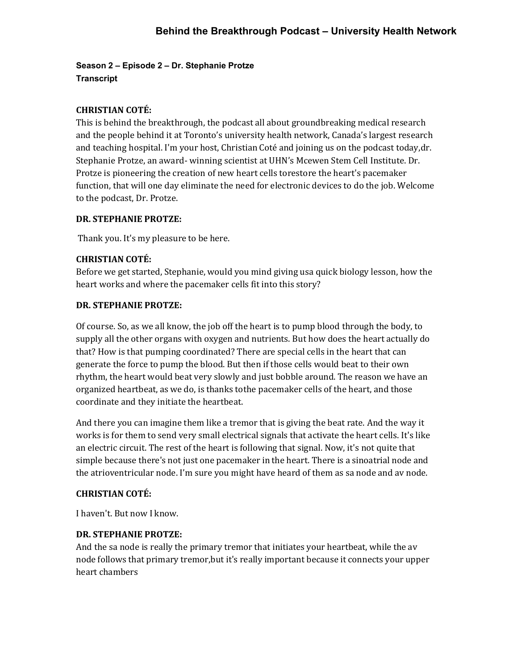**Season 2 – Episode 2 – Dr. Stephanie Protze Transcript** 

## **CHRISTIAN COTÉ:**

This is behind the breakthrough, the podcast all about groundbreaking medical research and the people behind it at Toronto's university health network, Canada's largest research and teaching hospital. I'm your host, Christian Coté and joining us on the podcast today,dr. Stephanie Protze, an award- winning scientist at UHN's Mcewen Stem Cell Institute. Dr. Protze is pioneering the creation of new heart cells torestore the heart's pacemaker function, that will one day eliminate the need for electronic devices to do the job. Welcome to the podcast, Dr. Protze.

## **DR. STEPHANIE PROTZE:**

Thank you. It's my pleasure to be here.

## **CHRISTIAN COTÉ:**

Before we get started, Stephanie, would you mind giving us a quick biology lesson, how the heart works and where the pacemaker cells fit into this story?

#### **DR. STEPHANIE PROTZE:**

Of course. So, as we all know, the job off the heart is to pump blood through the body, to supply all the other organs with oxygen and nutrients. But how does the heart actually do that? How is that pumping coordinated? There are special cells in the heart that can generate the force to pump the blood. But then if those cells would beat to their own rhythm, the heart would beat very slowly and just bobble around. The reason we have an organized heartbeat, as we do, is thanks tothe pacemaker cells of the heart, and those coordinate and they initiate the heartbeat.

And there you can imagine them like a tremor that is giving the beat rate. And the way it works is for them to send very small electrical signals that activate the heart cells. It's like an electric circuit. The rest of the heart is following that signal. Now, it's not quite that simple because there's not just one pacemaker in the heart. There is a sinoatrial node and the atrioventricular node. I'm sure you might have heard of them as sa node and av node.

#### **CHRISTIAN COTÉ:**

I haven't. But now I know.

#### **DR. STEPHANIE PROTZE:**

And the sa node is really the primary tremor that initiates your heartbeat, while the av node follows that primary tremor, but it's really important because it connects your upper heart chambers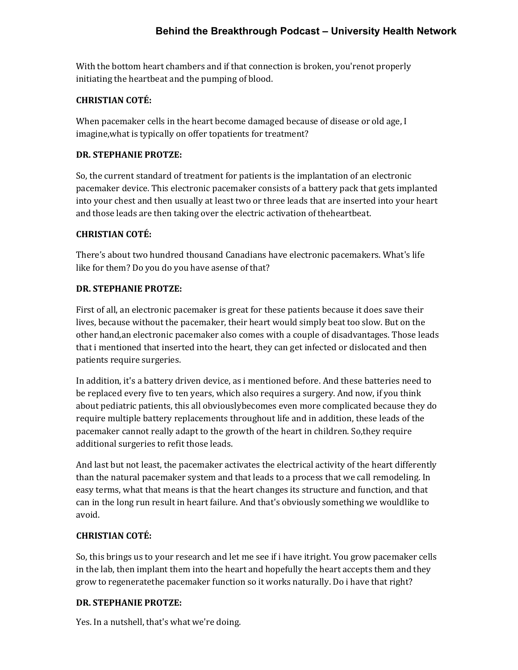With the bottom heart chambers and if that connection is broken, you'renot properly initiating the heartbeat and the pumping of blood.

## **CHRISTIAN COTÉ:**

When pacemaker cells in the heart become damaged because of disease or old age, I imagine, what is typically on offer topatients for treatment?

### **DR. STEPHANIE PROTZE:**

So, the current standard of treatment for patients is the implantation of an electronic pacemaker device. This electronic pacemaker consists of a battery pack that gets implanted into your chest and then usually at least two or three leads that are inserted into your heart and those leads are then taking over the electric activation of the heartbeat.

## **CHRISTIAN COTÉ:**

There's about two hundred thousand Canadians have electronic pacemakers. What's life like for them? Do you do you have asense of that?

## **DR. STEPHANIE PROTZE:**

First of all, an electronic pacemaker is great for these patients because it does save their lives, because without the pacemaker, their heart would simply beat too slow. But on the other hand,an electronic pacemaker also comes with a couple of disadvantages. Those leads that i mentioned that inserted into the heart, they can get infected or dislocated and then patients require surgeries.

In addition, it's a battery driven device, as i mentioned before. And these batteries need to be replaced every five to ten years, which also requires a surgery. And now, if you think about pediatric patients, this all obviouslybecomes even more complicated because they do require multiple battery replacements throughout life and in addition, these leads of the pacemaker cannot really adapt to the growth of the heart in children. So, they require additional surgeries to refit those leads.

And last but not least, the pacemaker activates the electrical activity of the heart differently than the natural pacemaker system and that leads to a process that we call remodeling. In easy terms, what that means is that the heart changes its structure and function, and that can in the long run result in heart failure. And that's obviously something we wouldlike to avoid.

#### **CHRISTIAN COTÉ:**

So, this brings us to your research and let me see if i have itright. You grow pacemaker cells in the lab, then implant them into the heart and hopefully the heart accepts them and they grow to regenerate the pacemaker function so it works naturally. Do i have that right?

# **DR. STEPHANIE PROTZE:**

Yes. In a nutshell, that's what we're doing.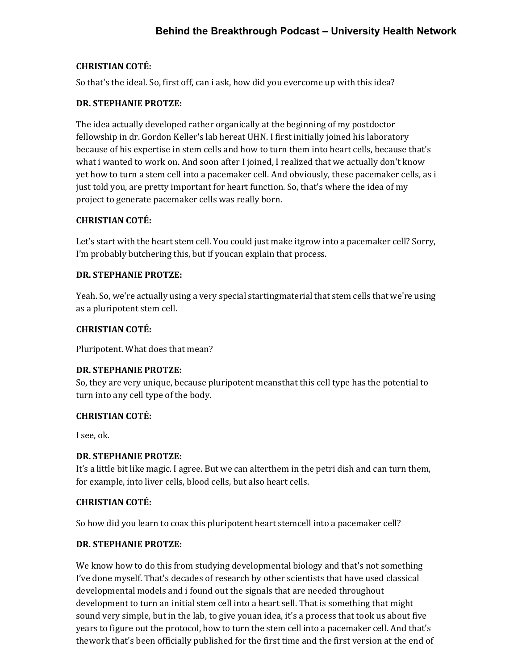#### **CHRISTIAN COTÉ:**

So that's the ideal. So, first off, can i ask, how did you evercome up with this idea?

#### **DR. STEPHANIE PROTZE:**

The idea actually developed rather organically at the beginning of my postdoctor fellowship in dr. Gordon Keller's lab hereat UHN. I first initially joined his laboratory because of his expertise in stem cells and how to turn them into heart cells, because that's what i wanted to work on. And soon after I joined, I realized that we actually don't know yet how to turn a stem cell into a pacemaker cell. And obviously, these pacemaker cells, as i just told you, are pretty important for heart function. So, that's where the idea of my project to generate pacemaker cells was really born.

#### **CHRISTIAN COTÉ:**

Let's start with the heart stem cell. You could just make itgrow into a pacemaker cell? Sorry, I'm probably butchering this, but if youcan explain that process.

#### **DR. STEPHANIE PROTZE:**

Yeah. So, we're actually using a very special startingmaterial that stem cells that we're using as a pluripotent stem cell.

#### **CHRISTIAN COTÉ:**

Pluripotent. What does that mean?

#### **DR. STEPHANIE PROTZE:**

So, they are very unique, because pluripotent meansthat this cell type has the potential to turn into any cell type of the body.

#### **CHRISTIAN COTÉ:**

I see, ok.

#### **DR. STEPHANIE PROTZE:**

It's a little bit like magic. I agree. But we can alterthem in the petri dish and can turn them, for example, into liver cells, blood cells, but also heart cells.

#### **CHRISTIAN COTÉ:**

So how did you learn to coax this pluripotent heart stemcell into a pacemaker cell?

### **DR. STEPHANIE PROTZE:**

We know how to do this from studying developmental biology and that's not something I've done myself. That's decades of research by other scientists that have used classical developmental models and i found out the signals that are needed throughout development to turn an initial stem cell into a heart sell. That is something that might sound very simple, but in the lab, to give youan idea, it's a process that took us about five years to figure out the protocol, how to turn the stem cell into a pacemaker cell. And that's the work that's been officially published for the first time and the first version at the end of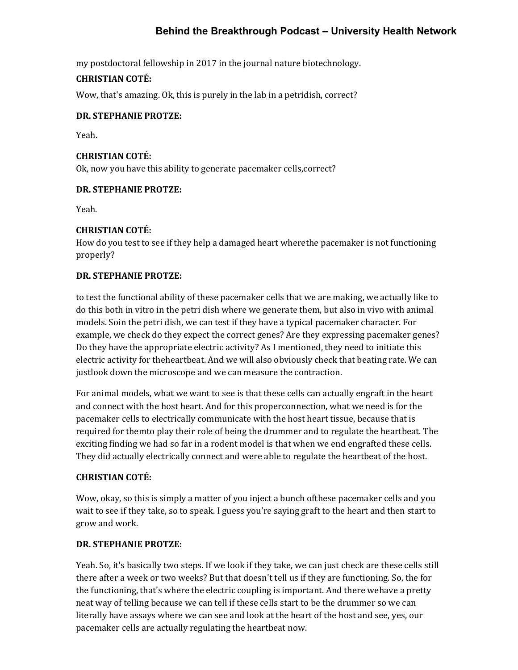my postdoctoral fellowship in 2017 in the journal nature biotechnology.

#### **CHRISTIAN COTÉ:**

Wow, that's amazing. Ok, this is purely in the lab in a petridish, correct?

#### **DR. STEPHANIE PROTZE:**

Yeah.

#### **CHRISTIAN COTÉ:**

Ok, now you have this ability to generate pacemaker cells,correct?

#### **DR. STEPHANIE PROTZE:**

Yeah.

#### **CHRISTIAN COTÉ:**

How do you test to see if they help a damaged heart where the pacemaker is not functioning properly?

#### **DR. STEPHANIE PROTZE:**

to test the functional ability of these pacemaker cells that we are making, we actually like to do this both in vitro in the petri dish where we generate them, but also in vivo with animal models. Soin the petri dish, we can test if they have a typical pacemaker character. For example, we check do they expect the correct genes? Are they expressing pacemaker genes? Do they have the appropriate electric activity? As I mentioned, they need to initiate this electric activity for the heartbeat. And we will also obviously check that beating rate. We can justlook down the microscope and we can measure the contraction.

For animal models, what we want to see is that these cells can actually engraft in the heart and connect with the host heart. And for this properconnection, what we need is for the pacemaker cells to electrically communicate with the host heart tissue, because that is required for them to play their role of being the drummer and to regulate the heartbeat. The exciting finding we had so far in a rodent model is that when we end engrafted these cells. They did actually electrically connect and were able to regulate the heartbeat of the host.

#### **CHRISTIAN COTÉ:**

Wow, okay, so this is simply a matter of you inject a bunch ofthese pacemaker cells and you wait to see if they take, so to speak. I guess you're saying graft to the heart and then start to grow and work.

#### **DR. STEPHANIE PROTZE:**

Yeah. So, it's basically two steps. If we look if they take, we can just check are these cells still there after a week or two weeks? But that doesn't tell us if they are functioning. So, the for the functioning, that's where the electric coupling is important. And there wehave a pretty neat way of telling because we can tell if these cells start to be the drummer so we can literally have assays where we can see and look at the heart of the host and see, yes, our pacemaker cells are actually regulating the heartbeat now.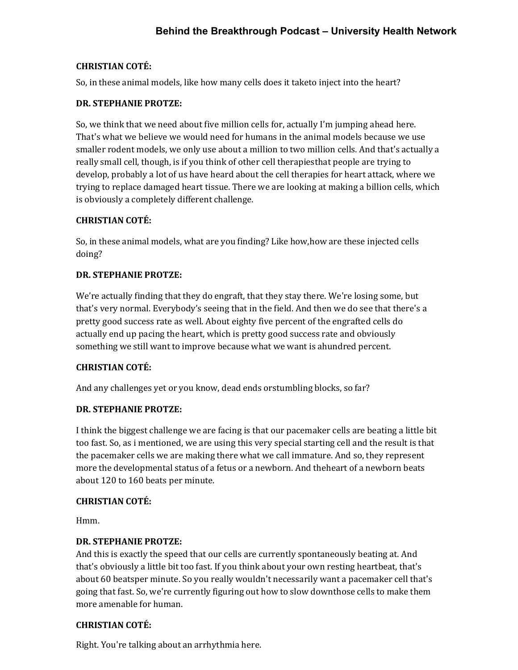## **CHRISTIAN COTÉ:**

So, in these animal models, like how many cells does it taketo inject into the heart?

### **DR. STEPHANIE PROTZE:**

So, we think that we need about five million cells for, actually I'm jumping ahead here. That's what we believe we would need for humans in the animal models because we use smaller rodent models, we only use about a million to two million cells. And that's actually a really small cell, though, is if you think of other cell therapiesthat people are trying to develop, probably a lot of us have heard about the cell therapies for heart attack, where we trying to replace damaged heart tissue. There we are looking at making a billion cells, which is obviously a completely different challenge.

## **CHRISTIAN COTÉ:**

So, in these animal models, what are you finding? Like how,how are these injected cells doing?

# **DR. STEPHANIE PROTZE:**

We're actually finding that they do engraft, that they stay there. We're losing some, but that's very normal. Everybody's seeing that in the field. And then we do see that there's a pretty good success rate as well. About eighty five percent of the engrafted cells do actually end up pacing the heart, which is pretty good success rate and obviously something we still want to improve because what we want is ahundred percent.

#### **CHRISTIAN COTÉ:**

And any challenges yet or you know, dead ends orstumbling blocks, so far?

#### **DR. STEPHANIE PROTZE:**

I think the biggest challenge we are facing is that our pacemaker cells are beating a little bit too fast. So, as i mentioned, we are using this very special starting cell and the result is that the pacemaker cells we are making there what we call immature. And so, they represent more the developmental status of a fetus or a newborn. And the heart of a newborn beats about 120 to 160 beats per minute.

#### **CHRISTIAN COTÉ:**

Hmm.

# **DR. STEPHANIE PROTZE:**

And this is exactly the speed that our cells are currently spontaneously beating at. And that's obviously a little bit too fast. If you think about your own resting heartbeat, that's about 60 beatsper minute. So you really wouldn't necessarily want a pacemaker cell that's going that fast. So, we're currently figuring out how to slow downthose cells to make them more amenable for human.

#### **CHRISTIAN COTÉ:**

Right. You're talking about an arrhythmia here.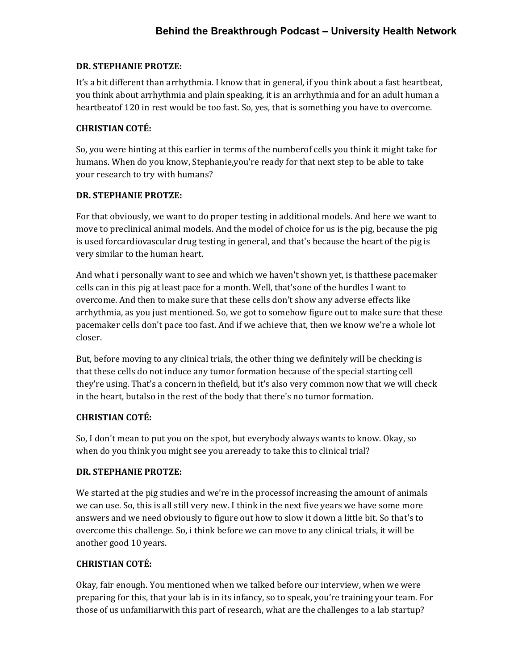## **DR. STEPHANIE PROTZE:**

It's a bit different than arrhythmia. I know that in general, if you think about a fast heartbeat, you think about arrhythmia and plain speaking, it is an arrhythmia and for an adult human a heartbeatof 120 in rest would be too fast. So, yes, that is something you have to overcome.

## **CHRISTIAN COTÉ:**

So, you were hinting at this earlier in terms of the numberof cells you think it might take for humans. When do you know, Stephanie, you're ready for that next step to be able to take your research to try with humans?

## **DR. STEPHANIE PROTZE:**

For that obviously, we want to do proper testing in additional models. And here we want to move to preclinical animal models. And the model of choice for us is the pig, because the pig is used forcardiovascular drug testing in general, and that's because the heart of the pig is very similar to the human heart.

And what i personally want to see and which we haven't shown yet, is thatthese pacemaker cells can in this pig at least pace for a month. Well, that's one of the hurdles I want to overcome. And then to make sure that these cells don't show any adverse effects like arrhythmia, as you just mentioned. So, we got to somehow figure out to make sure that these pacemaker cells don't pace too fast. And if we achieve that, then we know we're a whole lot closer.

But, before moving to any clinical trials, the other thing we definitely will be checking is that these cells do not induce any tumor formation because of the special starting cell they're using. That's a concern in the field, but it's also very common now that we will check in the heart, butalso in the rest of the body that there's no tumor formation.

#### **CHRISTIAN COTÉ:**

So, I don't mean to put you on the spot, but everybody always wants to know. Okay, so when do you think you might see you areready to take this to clinical trial?

# **DR. STEPHANIE PROTZE:**

We started at the pig studies and we're in the processof increasing the amount of animals we can use. So, this is all still very new. I think in the next five years we have some more answers and we need obviously to figure out how to slow it down a little bit. So that's to overcome this challenge. So, i think before we can move to any clinical trials, it will be another good 10 years.

#### **CHRISTIAN COTÉ:**

Okay, fair enough. You mentioned when we talked before our interview, when we were preparing for this, that your lab is in its infancy, so to speak, you're training your team. For those of us unfamiliarwith this part of research, what are the challenges to a lab startup?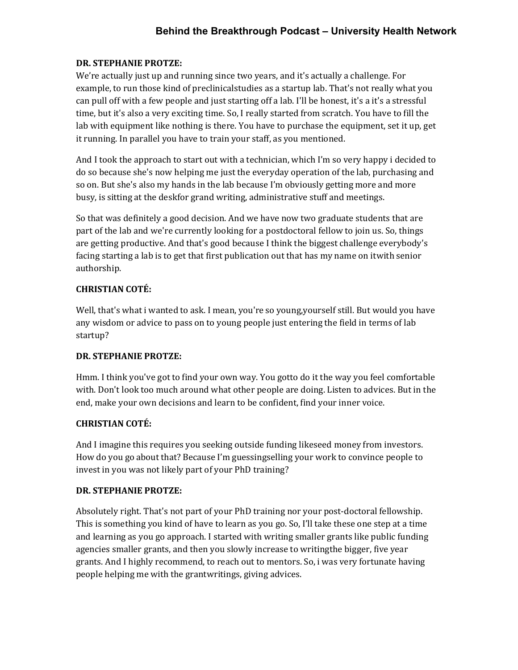#### **DR. STEPHANIE PROTZE:**

We're actually just up and running since two years, and it's actually a challenge. For example, to run those kind of preclinicalstudies as a startup lab. That's not really what you can pull off with a few people and just starting off a lab. I'll be honest, it's a it's a stressful time, but it's also a very exciting time. So, I really started from scratch. You have to fill the lab with equipment like nothing is there. You have to purchase the equipment, set it up, get it running. In parallel you have to train your staff, as you mentioned.

And I took the approach to start out with a technician, which I'm so very happy i decided to do so because she's now helping me just the everyday operation of the lab, purchasing and so on. But she's also my hands in the lab because I'm obviously getting more and more busy, is sitting at the deskfor grand writing, administrative stuff and meetings.

So that was definitely a good decision. And we have now two graduate students that are part of the lab and we're currently looking for a postdoctoral fellow to join us. So, things are getting productive. And that's good because I think the biggest challenge everybody's facing starting a lab is to get that first publication out that has my name on it with senior authorship.

#### **CHRISTIAN COTÉ:**

Well, that's what i wanted to ask. I mean, you're so young,yourself still. But would you have any wisdom or advice to pass on to young people just entering the field in terms of lab startup?

#### **DR. STEPHANIE PROTZE:**

Hmm. I think you've got to find your own way. You gotto do it the way you feel comfortable with. Don't look too much around what other people are doing. Listen to advices. But in the end, make your own decisions and learn to be confident, find your inner voice.

#### **CHRISTIAN COTÉ:**

And I imagine this requires you seeking outside funding likeseed money from investors. How do you go about that? Because I'm guessingselling your work to convince people to invest in you was not likely part of your PhD training?

#### **DR. STEPHANIE PROTZE:**

Absolutely right. That's not part of your PhD training nor your post-doctoral fellowship. This is something you kind of have to learn as you go. So, I'll take these one step at a time and learning as you go approach. I started with writing smaller grants like public funding agencies smaller grants, and then you slowly increase to writingthe bigger, five year grants. And I highly recommend, to reach out to mentors. So, i was very fortunate having people helping me with the grantwritings, giving advices.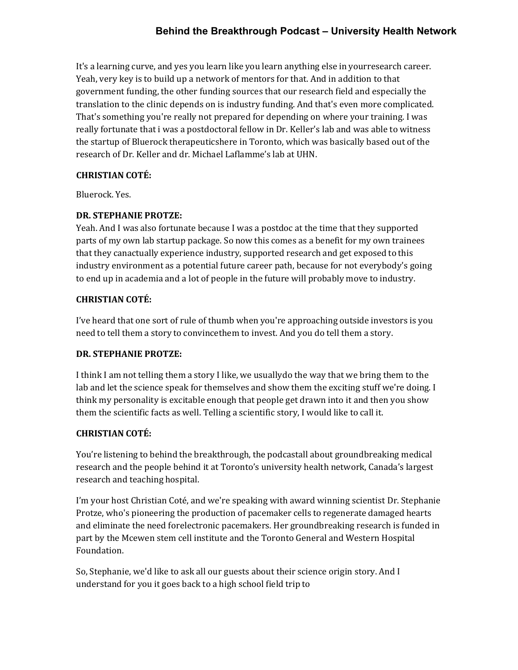It's a learning curve, and yes you learn like you learn anything else in yourresearch career. Yeah, very key is to build up a network of mentors for that. And in addition to that government funding, the other funding sources that our research field and especially the translation to the clinic depends on is industry funding. And that's even more complicated. That's something you're really not prepared for depending on where your training. I was really fortunate that i was a postdoctoral fellow in Dr. Keller's lab and was able to witness the startup of Bluerock therapeuticshere in Toronto, which was basically based out of the research of Dr. Keller and dr. Michael Laflamme's lab at UHN.

#### **CHRISTIAN COTÉ:**

Bluerock. Yes.

#### **DR. STEPHANIE PROTZE:**

Yeah. And I was also fortunate because I was a postdoc at the time that they supported parts of my own lab startup package. So now this comes as a benefit for my own trainees that they canactually experience industry, supported research and get exposed to this industry environment as a potential future career path, because for not everybody's going to end up in academia and a lot of people in the future will probably move to industry.

#### **CHRISTIAN COTÉ:**

I've heard that one sort of rule of thumb when you're approaching outside investors is you need to tell them a story to convincethem to invest. And you do tell them a story.

#### **DR. STEPHANIE PROTZE:**

I think I am not telling them a story I like, we usuallydo the way that we bring them to the lab and let the science speak for themselves and show them the exciting stuff we're doing. I think my personality is excitable enough that people get drawn into it and then you show them the scientific facts as well. Telling a scientific story, I would like to call it.

#### **CHRISTIAN COTÉ:**

You're listening to behind the breakthrough, the podcastall about groundbreaking medical research and the people behind it at Toronto's university health network, Canada's largest research and teaching hospital.

I'm your host Christian Coté, and we're speaking with award winning scientist Dr. Stephanie Protze, who's pioneering the production of pacemaker cells to regenerate damaged hearts and eliminate the need forelectronic pacemakers. Her groundbreaking research is funded in part by the Mcewen stem cell institute and the Toronto General and Western Hospital Foundation.

So, Stephanie, we'd like to ask all our guests about their science origin story. And I understand for you it goes back to a high school field trip to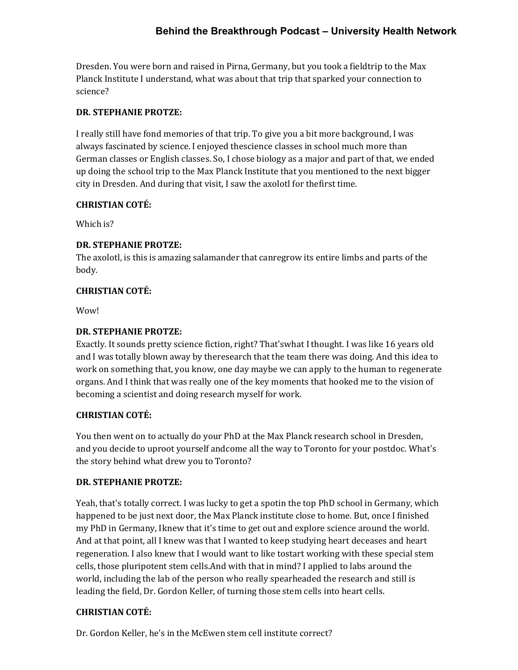Dresden. You were born and raised in Pirna, Germany, but you took a fieldtrip to the Max Planck Institute I understand, what was about that trip that sparked your connection to science?

#### **DR. STEPHANIE PROTZE:**

I really still have fond memories of that trip. To give you a bit more background, I was always fascinated by science. I enjoyed the science classes in school much more than German classes or English classes. So, I chose biology as a major and part of that, we ended up doing the school trip to the Max Planck Institute that you mentioned to the next bigger city in Dresden. And during that visit, I saw the axolotl for thefirst time.

#### **CHRISTIAN COTÉ:**

Which is?

#### **DR. STEPHANIE PROTZE:**

The axolotl, is this is amazing salamander that canregrow its entire limbs and parts of the body.

#### **CHRISTIAN COTÉ:**

Wow!

#### **DR. STEPHANIE PROTZE:**

Exactly. It sounds pretty science fiction, right? That'swhat I thought. I was like 16 years old and I was totally blown away by the research that the team there was doing. And this idea to work on something that, you know, one day maybe we can apply to the human to regenerate organs. And I think that was really one of the key moments that hooked me to the vision of becoming a scientist and doing research myself for work.

#### **CHRISTIAN COTÉ:**

You then went on to actually do your PhD at the Max Planck research school in Dresden, and you decide to uproot yourself andcome all the way to Toronto for your postdoc. What's the story behind what drew you to Toronto?

#### **DR. STEPHANIE PROTZE:**

Yeah, that's totally correct. I was lucky to get a spotin the top PhD school in Germany, which happened to be just next door, the Max Planck institute close to home. But, once I finished my PhD in Germany, I knew that it's time to get out and explore science around the world. And at that point, all I knew was that I wanted to keep studying heart deceases and heart regeneration. I also knew that I would want to like tostart working with these special stem cells, those pluripotent stem cells.And with that in mind? I applied to labs around the world, including the lab of the person who really spearheaded the research and still is leading the field, Dr. Gordon Keller, of turning those stem cells into heart cells.

#### **CHRISTIAN COTÉ:**

Dr. Gordon Keller, he's in the McEwen stem cell institute correct?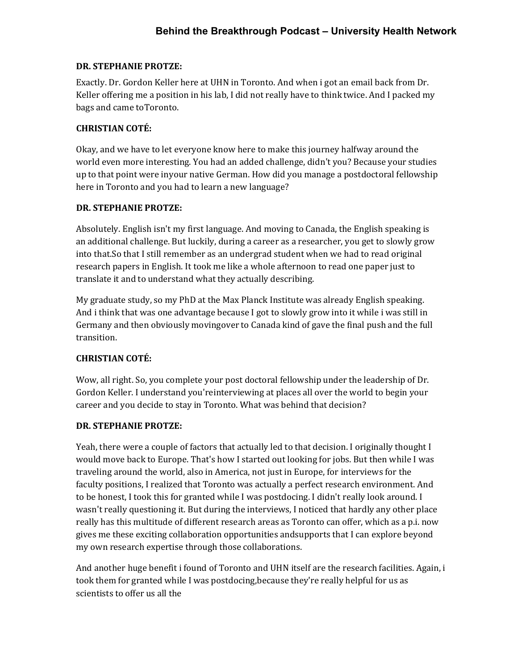### **DR. STEPHANIE PROTZE:**

Exactly. Dr. Gordon Keller here at UHN in Toronto. And when i got an email back from Dr. Keller offering me a position in his lab, I did not really have to think twice. And I packed my bags and came to Toronto.

## **CHRISTIAN COTÉ:**

Okay, and we have to let everyone know here to make this journey halfway around the world even more interesting. You had an added challenge, didn't you? Because your studies up to that point were inyour native German. How did you manage a postdoctoral fellowship here in Toronto and you had to learn a new language?

## **DR. STEPHANIE PROTZE:**

Absolutely. English isn't my first language. And moving to Canada, the English speaking is an additional challenge. But luckily, during a career as a researcher, you get to slowly grow into that.So that I still remember as an undergrad student when we had to read original research papers in English. It took me like a whole afternoon to read one paper just to translate it and to understand what they actually describing.

My graduate study, so my PhD at the Max Planck Institute was already English speaking. And i think that was one advantage because I got to slowly grow into it while i was still in Germany and then obviously movingover to Canada kind of gave the final push and the full transition.

# **CHRISTIAN COTÉ:**

Wow, all right. So, you complete your post doctoral fellowship under the leadership of Dr. Gordon Keller. I understand you'reinterviewing at places all over the world to begin your career and you decide to stay in Toronto. What was behind that decision?

# **DR. STEPHANIE PROTZE:**

Yeah, there were a couple of factors that actually led to that decision. I originally thought I would move back to Europe. That's how I started out looking for jobs. But then while I was traveling around the world, also in America, not just in Europe, for interviews for the faculty positions, I realized that Toronto was actually a perfect research environment. And to be honest, I took this for granted while I was postdocing. I didn't really look around. I wasn't really questioning it. But during the interviews, I noticed that hardly any other place really has this multitude of different research areas as Toronto can offer, which as a p.i. now gives me these exciting collaboration opportunities andsupports that I can explore beyond my own research expertise through those collaborations.

And another huge benefit i found of Toronto and UHN itself are the research facilities. Again, i took them for granted while I was postdocing,because they're really helpful for us as scientists to offer us all the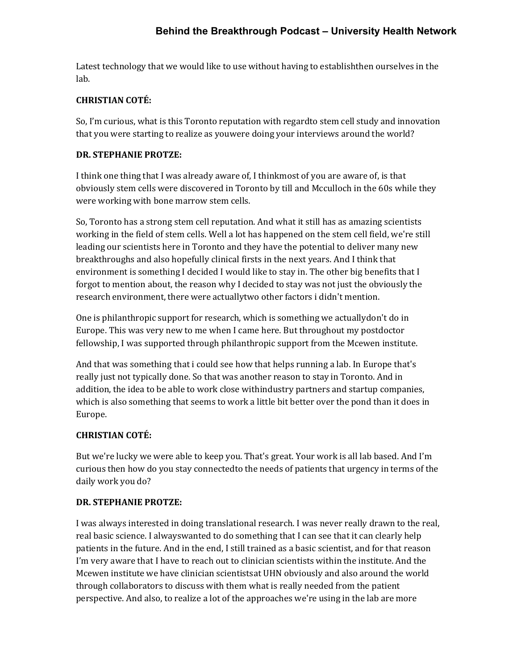Latest technology that we would like to use without having to establishthen ourselves in the lab.

# **CHRISTIAN COTÉ:**

So, I'm curious, what is this Toronto reputation with regard to stem cell study and innovation that you were starting to realize as youwere doing your interviews around the world?

## **DR. STEPHANIE PROTZE:**

I think one thing that I was already aware of, I think most of you are aware of, is that obviously stem cells were discovered in Toronto by till and Mcculloch in the 60s while they were working with bone marrow stem cells.

So, Toronto has a strong stem cell reputation. And what it still has as amazing scientists working in the field of stem cells. Well a lot has happened on the stem cell field, we're still leading our scientists here in Toronto and they have the potential to deliver many new breakthroughs and also hopefully clinical firsts in the next years. And I think that environment is something I decided I would like to stay in. The other big benefits that I forgot to mention about, the reason why I decided to stay was not just the obviously the research environment, there were actually two other factors i didn't mention.

One is philanthropic support for research, which is something we actuallydon't do in Europe. This was very new to me when I came here. But throughout my postdoctor fellowship, I was supported through philanthropic support from the Mcewen institute.

And that was something that i could see how that helps running a lab. In Europe that's really just not typically done. So that was another reason to stay in Toronto. And in addition, the idea to be able to work close withindustry partners and startup companies, which is also something that seems to work a little bit better over the pond than it does in Europe.

# **CHRISTIAN COTÉ:**

But we're lucky we were able to keep you. That's great. Your work is all lab based. And I'm curious then how do you stay connected to the needs of patients that urgency in terms of the daily work you do?

# **DR. STEPHANIE PROTZE:**

I was always interested in doing translational research. I was never really drawn to the real, real basic science. I alwayswanted to do something that I can see that it can clearly help patients in the future. And in the end, I still trained as a basic scientist, and for that reason I'm very aware that I have to reach out to clinician scientists within the institute. And the Mcewen institute we have clinician scientistsat UHN obviously and also around the world through collaborators to discuss with them what is really needed from the patient perspective. And also, to realize a lot of the approaches we're using in the lab are more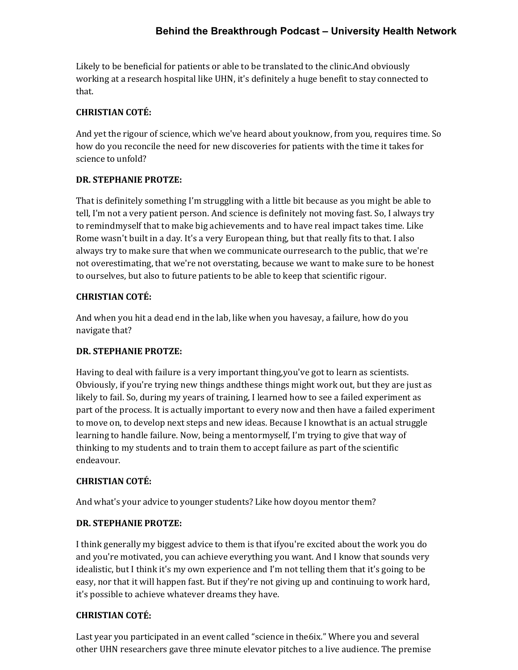Likely to be beneficial for patients or able to be translated to the clinic.And obviously working at a research hospital like UHN, it's definitely a huge benefit to stay connected to that.

### **CHRISTIAN COTÉ:**

And yet the rigour of science, which we've heard about youknow, from you, requires time. So how do you reconcile the need for new discoveries for patients with the time it takes for science to unfold?

## **DR. STEPHANIE PROTZE:**

That is definitely something I'm struggling with a little bit because as you might be able to tell, I'm not a very patient person. And science is definitely not moving fast. So, I always try to remindmyself that to make big achievements and to have real impact takes time. Like Rome wasn't built in a day. It's a very European thing, but that really fits to that. I also always try to make sure that when we communicate ourresearch to the public, that we're not overestimating, that we're not overstating, because we want to make sure to be honest to ourselves, but also to future patients to be able to keep that scientific rigour.

#### **CHRISTIAN COTÉ:**

And when you hit a dead end in the lab, like when you havesay, a failure, how do you navigate that?

# **DR. STEPHANIE PROTZE:**

Having to deal with failure is a very important thing,you've got to learn as scientists. Obviously, if you're trying new things andthese things might work out, but they are just as likely to fail. So, during my years of training, I learned how to see a failed experiment as part of the process. It is actually important to every now and then have a failed experiment to move on, to develop next steps and new ideas. Because I knowthat is an actual struggle learning to handle failure. Now, being a mentormyself, I'm trying to give that way of thinking to my students and to train them to accept failure as part of the scientific endeavour.

#### **CHRISTIAN COTÉ:**

And what's your advice to younger students? Like how doyou mentor them?

#### **DR. STEPHANIE PROTZE:**

I think generally my biggest advice to them is that ifyou're excited about the work you do and you're motivated, you can achieve everything you want. And I know that sounds very idealistic, but I think it's my own experience and I'm not telling them that it's going to be easy, nor that it will happen fast. But if they're not giving up and continuing to work hard, it's possible to achieve whatever dreams they have.

# **CHRISTIAN COTÉ:**

Last year you participated in an event called "science in the 6ix." Where you and several other UHN researchers gave three minute elevator pitches to a live audience. The premise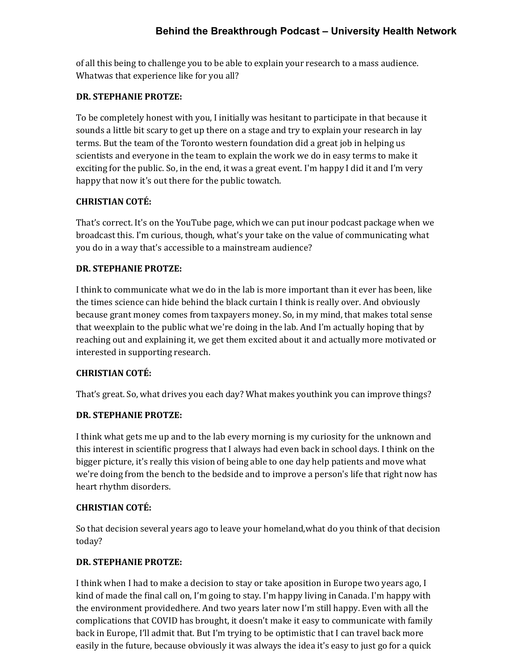of all this being to challenge you to be able to explain your research to a mass audience. Whatwas that experience like for you all?

#### **DR. STEPHANIE PROTZE:**

To be completely honest with you, I initially was hesitant to participate in that because it sounds a little bit scary to get up there on a stage and try to explain your research in lay terms. But the team of the Toronto western foundation did a great job in helping us scientists and everyone in the team to explain the work we do in easy terms to make it exciting for the public. So, in the end, it was a great event. I'm happy I did it and I'm very happy that now it's out there for the public towatch.

#### **CHRISTIAN COTÉ:**

That's correct. It's on the YouTube page, which we can put inour podcast package when we broadcast this. I'm curious, though, what's your take on the value of communicating what you do in a way that's accessible to a mainstream audience?

#### **DR. STEPHANIE PROTZE:**

I think to communicate what we do in the lab is more important than it ever has been, like the times science can hide behind the black curtain I think is really over. And obviously because grant money comes from taxpayers money. So, in my mind, that makes total sense that weexplain to the public what we're doing in the lab. And I'm actually hoping that by reaching out and explaining it, we get them excited about it and actually more motivated or interested in supporting research.

#### **CHRISTIAN COTÉ:**

That's great. So, what drives you each day? What makes you think you can improve things?

#### **DR. STEPHANIE PROTZE:**

I think what gets me up and to the lab every morning is my curiosity for the unknown and this interest in scientific progress that I always had even back in school days. I think on the bigger picture, it's really this vision of being able to one day help patients and move what we're doing from the bench to the bedside and to improve a person's life that right now has heart rhythm disorders.

#### **CHRISTIAN COTÉ:**

So that decision several years ago to leave your homeland,what do you think of that decision today?

#### **DR. STEPHANIE PROTZE:**

I think when I had to make a decision to stay or take aposition in Europe two years ago, I kind of made the final call on, I'm going to stay. I'm happy living in Canada. I'm happy with the environment providedhere. And two years later now I'm still happy. Even with all the complications that COVID has brought, it doesn't make it easy to communicate with family back in Europe, I'll admit that. But I'm trying to be optimistic that I can travel back more easily in the future, because obviously it was always the idea it's easy to just go for a quick